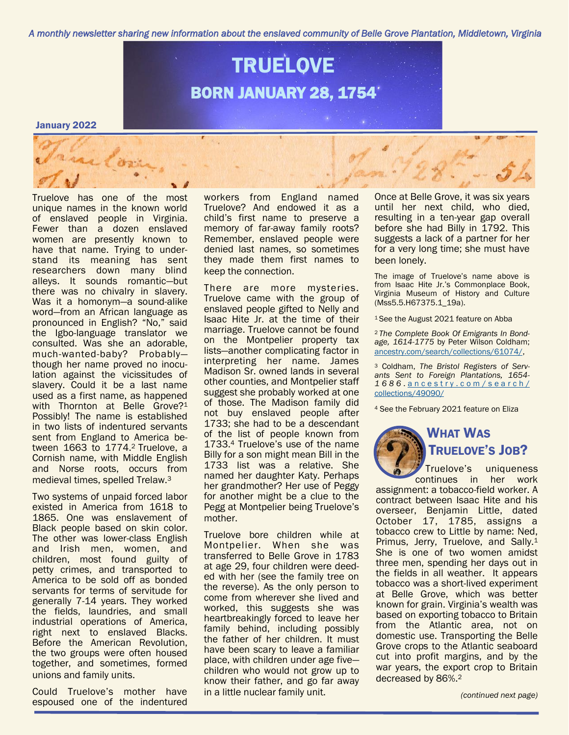*A monthly newsletter sharing new information about the enslaved community of Belle Grove Plantation, Middletown, Virginia*



## January 2022

**RED** 

Truelove has one of the most unique names in the known world of enslaved people in Virginia. Fewer than a dozen enslaved women are presently known to have that name. Trying to understand its meaning has sent researchers down many blind alleys. It sounds romantic—but there was no chivalry in slavery. Was it a homonym—a sound-alike word—from an African language as pronounced in English? "No," said the Igbo-language translator we consulted. Was she an adorable, much-wanted-baby? Probably though her name proved no inoculation against the vicissitudes of slavery. Could it be a last name used as a first name, as happened with Thornton at Belle Grove?<sup>1</sup> Possibly! The name is established in two lists of indentured servants sent from England to America between 1663 to 1774.2 Truelove, a Cornish name, with Middle English and Norse roots, occurs from medieval times, spelled Trelaw.<sup>3</sup>

Two systems of unpaid forced labor existed in America from 1618 to 1865. One was enslavement of Black people based on skin color. The other was lower-class English and Irish men, women, and children, most found guilty of petty crimes, and transported to America to be sold off as bonded servants for terms of servitude for generally 7-14 years. They worked the fields, laundries, and small industrial operations of America, right next to enslaved Blacks. Before the American Revolution, the two groups were often housed together, and sometimes, formed unions and family units.

Could Truelove's mother have espoused one of the indentured workers from England named Truelove? And endowed it as a child's first name to preserve a memory of far-away family roots? Remember, enslaved people were denied last names, so sometimes they made them first names to keep the connection.

There are more mysteries. Truelove came with the group of enslaved people gifted to Nelly and Isaac Hite Jr. at the time of their marriage. Truelove cannot be found on the Montpelier property tax lists—another complicating factor in interpreting her name. James Madison Sr. owned lands in several other counties, and Montpelier staff suggest she probably worked at one of those. The Madison family did not buy enslaved people after 1733; she had to be a descendant of the list of people known from 1733.<sup>4</sup> Truelove's use of the name Billy for a son might mean Bill in the 1733 list was a relative. She named her daughter Katy. Perhaps her grandmother? Her use of Peggy for another might be a clue to the Pegg at Montpelier being Truelove's mother.

Truelove bore children while at Montpelier. When she was transferred to Belle Grove in 1783 at age 29, four children were deeded with her (see the family tree on the reverse). As the only person to come from wherever she lived and worked, this suggests she was heartbreakingly forced to leave her family behind, including possibly the father of her children. It must have been scary to leave a familiar place, with children under age five children who would not grow up to know their father, and go far away in a little nuclear family unit.

Once at Belle Grove, it was six years until her next child, who died, resulting in a ten-year gap overall before she had Billy in 1792. This suggests a lack of a partner for her for a very long time; she must have been lonely.

The image of Truelove's name above is from Isaac Hite Jr.'s Commonplace Book, Virginia Museum of History and Culture (Mss5.5.H67375.1\_19a).

<sup>1</sup>See the August 2021 feature on Abba

2 *The Complete Book Of Emigrants In Bondage, 1614-1775* by Peter Wilson Coldham; [ancestry.com/search/collections/61074/,](https://www.ancestry.com/search/collections/61074/) 

<sup>3</sup> Coldham, *The Bristol Registers of Servants Sent to Foreign Plantations, 1654- 1 6 8 6* . [a n c e s t r y . c o m / s e a r c h /](https://www.ancestry.com/search/collections/49090/) [collections/49090/](https://www.ancestry.com/search/collections/49090/)

<sup>4</sup> See the February 2021 feature on Eliza

## WHAT WAS TRUELOVE'S JOB?

Truelove's uniqueness continues in her work assignment: a tobacco-field worker. A contract between Isaac Hite and his overseer, Benjamin Little, dated October 17, 1785, assigns a tobacco crew to Little by name: Ned, Primus, Jerry, Truelove, and Sally.<sup>1</sup> She is one of two women amidst three men, spending her days out in the fields in all weather. It appears tobacco was a short-lived experiment at Belle Grove, which was better known for grain. Virginia's wealth was based on exporting tobacco to Britain from the Atlantic area, not on domestic use. Transporting the Belle Grove crops to the Atlantic seaboard cut into profit margins, and by the war years, the export crop to Britain decreased by 86%.<sup>2</sup>